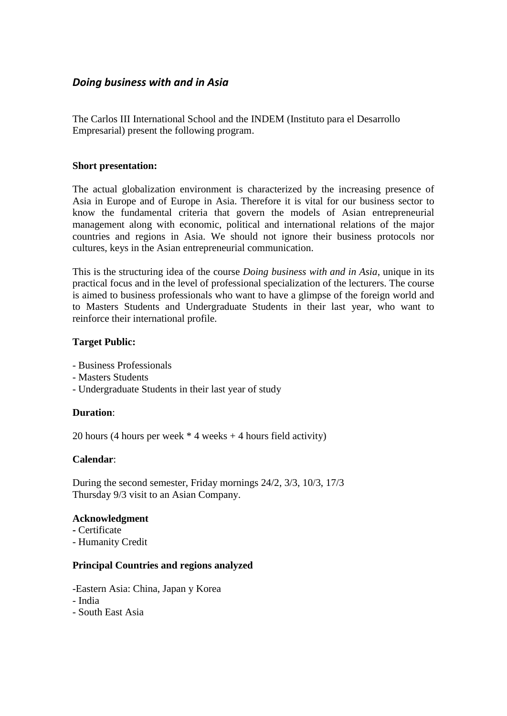# *Doing business with and in Asia*

The Carlos III International School and the INDEM (Instituto para el Desarrollo Empresarial) present the following program.

#### **Short presentation:**

The actual globalization environment is characterized by the increasing presence of Asia in Europe and of Europe in Asia. Therefore it is vital for our business sector to know the fundamental criteria that govern the models of Asian entrepreneurial management along with economic, political and international relations of the major countries and regions in Asia. We should not ignore their business protocols nor cultures, keys in the Asian entrepreneurial communication.

This is the structuring idea of the course *Doing business with and in Asia*, unique in its practical focus and in the level of professional specialization of the lecturers. The course is aimed to business professionals who want to have a glimpse of the foreign world and to Masters Students and Undergraduate Students in their last year, who want to reinforce their international profile.

#### **Target Public:**

- Business Professionals
- Masters Students
- Undergraduate Students in their last year of study

## **Duration**:

20 hours (4 hours per week  $*$  4 weeks  $+$  4 hours field activity)

#### **Calendar**:

During the second semester, Friday mornings 24/2, 3/3, 10/3, 17/3 Thursday 9/3 visit to an Asian Company.

#### **Acknowledgment**

- **-** Certificate
- Humanity Credit

## **Principal Countries and regions analyzed**

-Eastern Asia: China, Japan y Korea

- India
- South East Asia